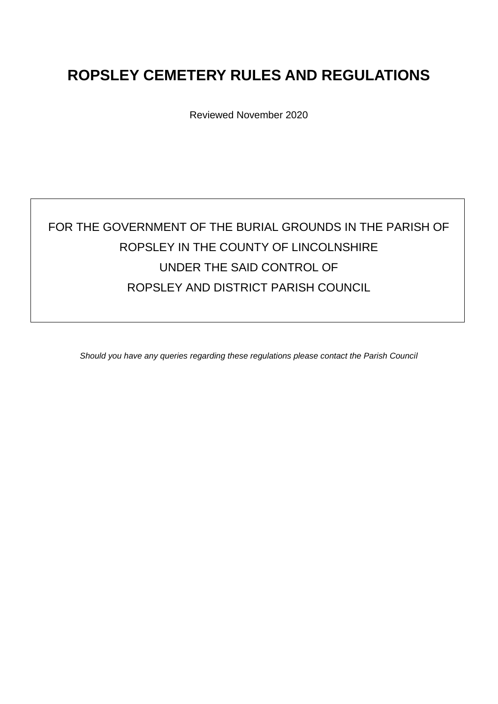# **ROPSLEY CEMETERY RULES AND REGULATIONS**

Reviewed November 2020

# FOR THE GOVERNMENT OF THE BURIAL GROUNDS IN THE PARISH OF ROPSLEY IN THE COUNTY OF LINCOLNSHIRE UNDER THE SAID CONTROL OF ROPSLEY AND DISTRICT PARISH COUNCIL

*Should you have any queries regarding these regulations please contact the Parish Council*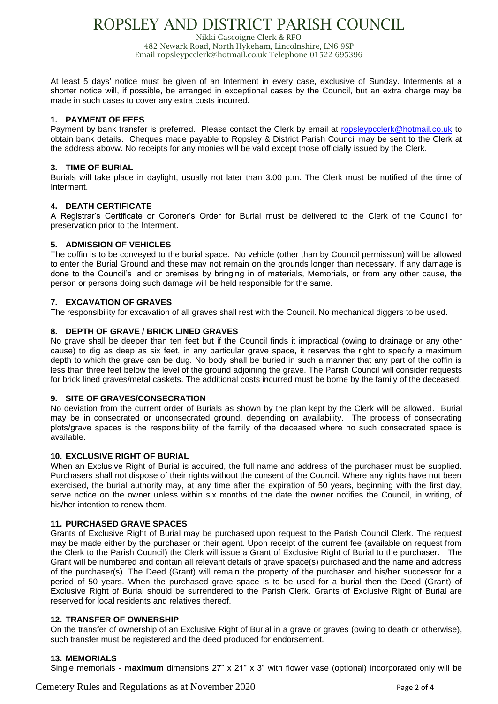# ROPSLEY AND DISTRICT PARISH COUNCIL

Nikki Gascoigne Clerk & RFO 482 Newark Road, North Hykeham, Lincolnshire, LN6 9SP Email ropsleypcclerk@hotmail.co.uk Telephone 01522 695396

At least 5 days' notice must be given of an Interment in every case, exclusive of Sunday. Interments at a shorter notice will, if possible, be arranged in exceptional cases by the Council, but an extra charge may be made in such cases to cover any extra costs incurred.

## **1. PAYMENT OF FEES**

Payment by bank transfer is preferred. Please contact the Clerk by email at [ropsleypcclerk@hotmail.co.uk](mailto:ropsleypcclerk@hotmail.co.uk) to obtain bank details. Cheques made payable to Ropsley & District Parish Council may be sent to the Clerk at the address abovw. No receipts for any monies will be valid except those officially issued by the Clerk.

### **3. TIME OF BURIAL**

Burials will take place in daylight, usually not later than 3.00 p.m. The Clerk must be notified of the time of Interment.

### **4. DEATH CERTIFICATE**

A Registrar's Certificate or Coroner's Order for Burial must be delivered to the Clerk of the Council for preservation prior to the Interment.

### **5. ADMISSION OF VEHICLES**

The coffin is to be conveyed to the burial space. No vehicle (other than by Council permission) will be allowed to enter the Burial Ground and these may not remain on the grounds longer than necessary. If any damage is done to the Council's land or premises by bringing in of materials, Memorials, or from any other cause, the person or persons doing such damage will be held responsible for the same.

### **7. EXCAVATION OF GRAVES**

The responsibility for excavation of all graves shall rest with the Council. No mechanical diggers to be used.

### **8. DEPTH OF GRAVE / BRICK LINED GRAVES**

No grave shall be deeper than ten feet but if the Council finds it impractical (owing to drainage or any other cause) to dig as deep as six feet, in any particular grave space, it reserves the right to specify a maximum depth to which the grave can be dug. No body shall be buried in such a manner that any part of the coffin is less than three feet below the level of the ground adjoining the grave. The Parish Council will consider requests for brick lined graves/metal caskets. The additional costs incurred must be borne by the family of the deceased.

### **9. SITE OF GRAVES/CONSECRATION**

No deviation from the current order of Burials as shown by the plan kept by the Clerk will be allowed. Burial may be in consecrated or unconsecrated ground, depending on availability. The process of consecrating plots/grave spaces is the responsibility of the family of the deceased where no such consecrated space is available.

### **10. EXCLUSIVE RIGHT OF BURIAL**

When an Exclusive Right of Burial is acquired, the full name and address of the purchaser must be supplied. Purchasers shall not dispose of their rights without the consent of the Council. Where any rights have not been exercised, the burial authority may, at any time after the expiration of 50 years, beginning with the first day, serve notice on the owner unless within six months of the date the owner notifies the Council, in writing, of his/her intention to renew them.

# **11. PURCHASED GRAVE SPACES**

Grants of Exclusive Right of Burial may be purchased upon request to the Parish Council Clerk. The request may be made either by the purchaser or their agent. Upon receipt of the current fee (available on request from the Clerk to the Parish Council) the Clerk will issue a Grant of Exclusive Right of Burial to the purchaser. The Grant will be numbered and contain all relevant details of grave space(s) purchased and the name and address of the purchaser(s). The Deed (Grant) will remain the property of the purchaser and his/her successor for a period of 50 years. When the purchased grave space is to be used for a burial then the Deed (Grant) of Exclusive Right of Burial should be surrendered to the Parish Clerk. Grants of Exclusive Right of Burial are reserved for local residents and relatives thereof.

### **12. TRANSFER OF OWNERSHIP**

On the transfer of ownership of an Exclusive Right of Burial in a grave or graves (owing to death or otherwise), such transfer must be registered and the deed produced for endorsement.

### **13. MEMORIALS**

Single memorials - **maximum** dimensions 27" x 21" x 3" with flower vase (optional) incorporated only will be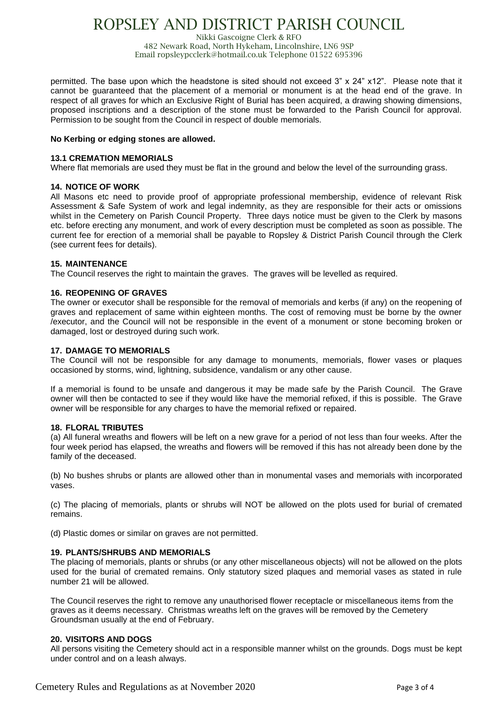# ROPSLEY AND DISTRICT PARISH COUNCIL

Nikki Gascoigne Clerk & RFO 482 Newark Road, North Hykeham, Lincolnshire, LN6 9SP Email ropsleypcclerk@hotmail.co.uk Telephone 01522 695396

permitted. The base upon which the headstone is sited should not exceed 3" x 24" x12". Please note that it cannot be guaranteed that the placement of a memorial or monument is at the head end of the grave. In respect of all graves for which an Exclusive Right of Burial has been acquired, a drawing showing dimensions, proposed inscriptions and a description of the stone must be forwarded to the Parish Council for approval. Permission to be sought from the Council in respect of double memorials.

### **No Kerbing or edging stones are allowed.**

### **13.1 CREMATION MEMORIALS**

Where flat memorials are used they must be flat in the ground and below the level of the surrounding grass.

### **14. NOTICE OF WORK**

All Masons etc need to provide proof of appropriate professional membership, evidence of relevant Risk Assessment & Safe System of work and legal indemnity, as they are responsible for their acts or omissions whilst in the Cemetery on Parish Council Property. Three days notice must be given to the Clerk by masons etc. before erecting any monument, and work of every description must be completed as soon as possible. The current fee for erection of a memorial shall be payable to Ropsley & District Parish Council through the Clerk (see current fees for details).

### **15. MAINTENANCE**

The Council reserves the right to maintain the graves. The graves will be levelled as required.

### **16. REOPENING OF GRAVES**

The owner or executor shall be responsible for the removal of memorials and kerbs (if any) on the reopening of graves and replacement of same within eighteen months. The cost of removing must be borne by the owner /executor, and the Council will not be responsible in the event of a monument or stone becoming broken or damaged, lost or destroyed during such work.

### **17. DAMAGE TO MEMORIALS**

The Council will not be responsible for any damage to monuments, memorials, flower vases or plaques occasioned by storms, wind, lightning, subsidence, vandalism or any other cause.

If a memorial is found to be unsafe and dangerous it may be made safe by the Parish Council. The Grave owner will then be contacted to see if they would like have the memorial refixed, if this is possible. The Grave owner will be responsible for any charges to have the memorial refixed or repaired.

# **18. FLORAL TRIBUTES**

(a) All funeral wreaths and flowers will be left on a new grave for a period of not less than four weeks. After the four week period has elapsed, the wreaths and flowers will be removed if this has not already been done by the family of the deceased.

(b) No bushes shrubs or plants are allowed other than in monumental vases and memorials with incorporated vases.

(c) The placing of memorials, plants or shrubs will NOT be allowed on the plots used for burial of cremated remains.

(d) Plastic domes or similar on graves are not permitted.

# **19. PLANTS/SHRUBS AND MEMORIALS**

The placing of memorials, plants or shrubs (or any other miscellaneous objects) will not be allowed on the plots used for the burial of cremated remains. Only statutory sized plaques and memorial vases as stated in rule number 21 will be allowed.

The Council reserves the right to remove any unauthorised flower receptacle or miscellaneous items from the graves as it deems necessary. Christmas wreaths left on the graves will be removed by the Cemetery Groundsman usually at the end of February.

# **20. VISITORS AND DOGS**

All persons visiting the Cemetery should act in a responsible manner whilst on the grounds. Dogs must be kept under control and on a leash always.